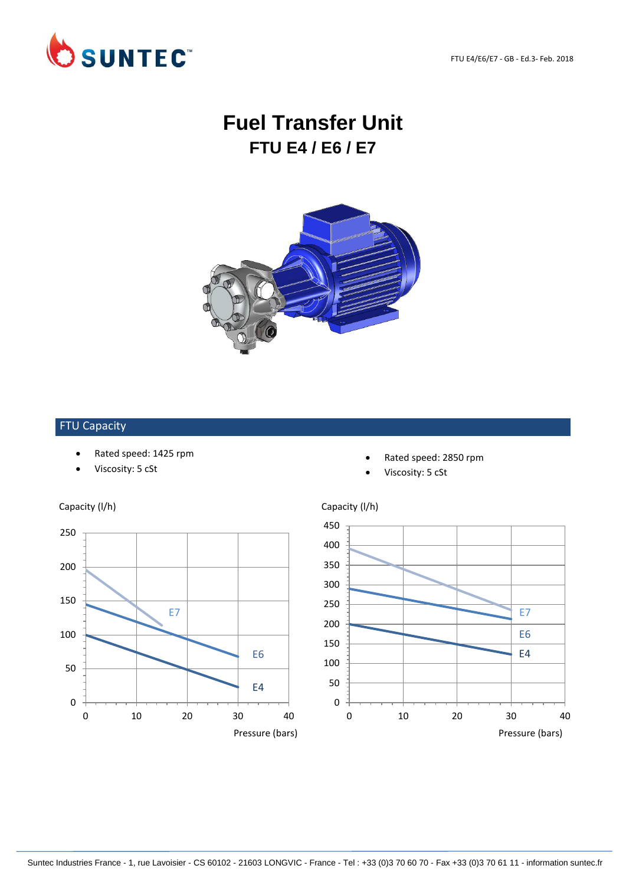FTU E4/E6/E7 - GB - Ed.3- Feb. 2018



# **Fuel Transfer Unit FTU E4 / E6 / E7**



## FTU Capacity

- Rated speed: 1425 rpm
- Viscosity: 5 cSt



- Rated speed: 2850 rpm
- Viscosity: 5 cSt